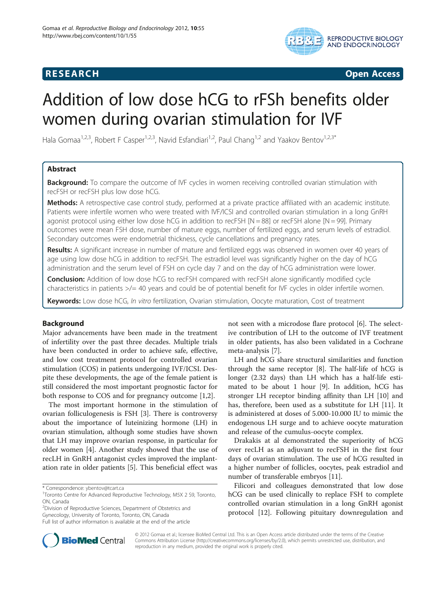## **RESEARCH CHINESE ARCH CHINESE ARCH CHINESE ARCH**



# Addition of low dose hCG to rFSh benefits older women during ovarian stimulation for IVF

Hala Gomaa<sup>1,2,3</sup>, Robert F Casper<sup>1,2,3</sup>, Navid Esfandiari<sup>1,2</sup>, Paul Chang<sup>1,2</sup> and Yaakov Bentov<sup>1,2,3\*</sup>

## Abstract

**Background:** To compare the outcome of IVF cycles in women receiving controlled ovarian stimulation with recFSH or recFSH plus low dose hCG.

Methods: A retrospective case control study, performed at a private practice affiliated with an academic institute. Patients were infertile women who were treated with IVF/ICSI and controlled ovarian stimulation in a long GnRH agonist protocol using either low dose hCG in addition to recFSH  $[N = 88]$  or recFSH alone  $[N = 99]$ . Primary outcomes were mean FSH dose, number of mature eggs, number of fertilized eggs, and serum levels of estradiol. Secondary outcomes were endometrial thickness, cycle cancellations and pregnancy rates.

Results: A significant increase in number of mature and fertilized eggs was observed in women over 40 years of age using low dose hCG in addition to recFSH. The estradiol level was significantly higher on the day of hCG administration and the serum level of FSH on cycle day 7 and on the day of hCG administration were lower.

**Conclusion:** Addition of low dose hCG to recFSH compared with recFSH alone significantly modified cycle characteristics in patients >/= 40 years and could be of potential benefit for IVF cycles in older infertile women.

Keywords: Low dose hCG, In vitro fertilization, Ovarian stimulation, Oocyte maturation, Cost of treatment

## Background

Major advancements have been made in the treatment of infertility over the past three decades. Multiple trials have been conducted in order to achieve safe, effective, and low cost treatment protocol for controlled ovarian stimulation (COS) in patients undergoing IVF/ICSI. Despite these developments, the age of the female patient is still considered the most important prognostic factor for both response to COS and for pregnancy outcome [[1,2\]](#page-4-0).

The most important hormone in the stimulation of ovarian folliculogenesis is FSH [[3\]](#page-4-0). There is controversy about the importance of luteinizing hormone (LH) in ovarian stimulation, although some studies have shown that LH may improve ovarian response, in particular for older women [\[4\]](#page-4-0). Another study showed that the use of recLH in GnRH antagonist cycles improved the implantation rate in older patients [\[5](#page-4-0)]. This beneficial effect was

<sup>2</sup>Division of Reproductive Sciences, Department of Obstetrics and

Gynecology, University of Toronto, Toronto, ON, Canada

not seen with a microdose flare protocol [[6](#page-5-0)]. The selective contribution of LH to the outcome of IVF treatment in older patients, has also been validated in a Cochrane meta-analysis [[7\]](#page-5-0).

LH and hCG share structural similarities and function through the same receptor [[8\]](#page-5-0). The half-life of hCG is longer (2.32 days) than LH which has a half-life estimated to be about 1 hour [\[9\]](#page-5-0). In addition, hCG has stronger LH receptor binding affinity than LH [[10\]](#page-5-0) and has, therefore, been used as a substitute for LH [\[11\]](#page-5-0). It is administered at doses of 5.000-10.000 IU to mimic the endogenous LH surge and to achieve oocyte maturation and release of the cumulus-oocyte complex.

Drakakis at al demonstrated the superiority of hCG over recLH as an adjuvant to recFSH in the first four days of ovarian stimulation. The use of hCG resulted in a higher number of follicles, oocytes, peak estradiol and number of transferable embryos [\[11](#page-5-0)].

Filicori and colleagues demonstrated that low dose hCG can be used clinically to replace FSH to complete controlled ovarian stimulation in a long GnRH agonist protocol [[12\]](#page-5-0). Following pituitary downregulation and



© 2012 Gomaa et al.; licensee BioMed Central Ltd. This is an Open Access article distributed under the terms of the Creative Commons Attribution License [\(http://creativecommons.org/licenses/by/2.0\)](http://creativecommons.org/licenses/by/2.0), which permits unrestricted use, distribution, and reproduction in any medium, provided the original work is properly cited.

<sup>\*</sup> Correspondence: [ybentov@tcart.ca](mailto:ybentov@tcart.ca) <sup>1</sup>

<sup>&</sup>lt;sup>1</sup>Toronto Centre for Advanced Reproductive Technology, M5X 2 S9, Toronto, ON, Canada

Full list of author information is available at the end of the article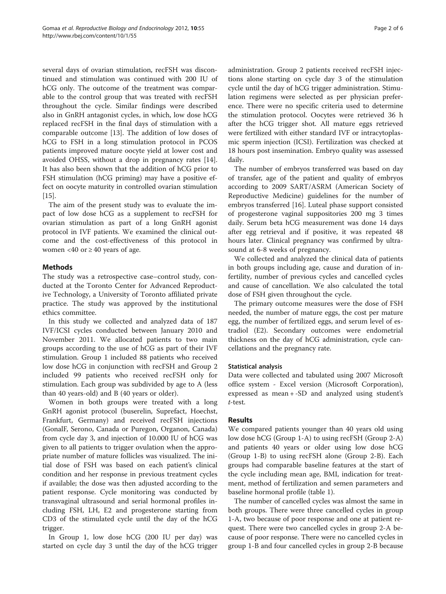several days of ovarian stimulation, recFSH was discontinued and stimulation was continued with 200 IU of hCG only. The outcome of the treatment was comparable to the control group that was treated with recFSH throughout the cycle. Similar findings were described also in GnRH antagonist cycles, in which, low dose hCG replaced recFSH in the final days of stimulation with a comparable outcome [\[13](#page-5-0)]. The addition of low doses of hCG to FSH in a long stimulation protocol in PCOS patients improved mature oocyte yield at lower cost and avoided OHSS, without a drop in pregnancy rates [\[14](#page-5-0)]. It has also been shown that the addition of hCG prior to FSH stimulation (hCG priming) may have a positive effect on oocyte maturity in controlled ovarian stimulation [[15\]](#page-5-0).

The aim of the present study was to evaluate the impact of low dose hCG as a supplement to recFSH for ovarian stimulation as part of a long GnRH agonist protocol in IVF patients. We examined the clinical outcome and the cost-effectiveness of this protocol in women <40 or  $\geq$  40 years of age.

## Methods

The study was a retrospective case–control study, conducted at the Toronto Center for Advanced Reproductive Technology, a University of Toronto affiliated private practice. The study was approved by the institutional ethics committee.

In this study we collected and analyzed data of 187 IVF/ICSI cycles conducted between January 2010 and November 2011. We allocated patients to two main groups according to the use of hCG as part of their IVF stimulation. Group 1 included 88 patients who received low dose hCG in conjunction with recFSH and Group 2 included 99 patients who received recFSH only for stimulation. Each group was subdivided by age to A (less than 40 years-old) and B (40 years or older).

Women in both groups were treated with a long GnRH agonist protocol (buserelin, Suprefact, Hoechst, Frankfurt, Germany) and received recFSH injections (GonalF, Serono, Canada or Puregon, Organon, Canada) from cycle day 3, and injection of 10.000 IU of hCG was given to all patients to trigger ovulation when the appropriate number of mature follicles was visualized. The initial dose of FSH was based on each patient's clinical condition and her response in previous treatment cycles if available; the dose was then adjusted according to the patient response. Cycle monitoring was conducted by transvaginal ultrasound and serial hormonal profiles including FSH, LH, E2 and progesterone starting from CD3 of the stimulated cycle until the day of the hCG trigger.

In Group 1, low dose hCG (200 IU per day) was started on cycle day 3 until the day of the hCG trigger

administration. Group 2 patients received recFSH injections alone starting on cycle day 3 of the stimulation cycle until the day of hCG trigger administration. Stimulation regimens were selected as per physician preference. There were no specific criteria used to determine the stimulation protocol. Oocytes were retrieved 36 h after the hCG trigger shot. All mature eggs retrieved were fertilized with either standard IVF or intracytoplasmic sperm injection (ICSI). Fertilization was checked at 18 hours post insemination. Embryo quality was assessed daily.

The number of embryos transferred was based on day of transfer, age of the patient and quality of embryos according to 2009 SART/ASRM (American Society of Reproductive Medicine) guidelines for the number of embryos transferred [\[16](#page-5-0)]. Luteal phase support consisted of progesterone vaginal suppositories 200 mg 3 times daily. Serum beta hCG measurement was done 14 days after egg retrieval and if positive, it was repeated 48 hours later. Clinical pregnancy was confirmed by ultrasound at 6-8 weeks of pregnancy.

We collected and analyzed the clinical data of patients in both groups including age, cause and duration of infertility, number of previous cycles and cancelled cycles and cause of cancellation. We also calculated the total dose of FSH given throughout the cycle.

The primary outcome measures were the dose of FSH needed, the number of mature eggs, the cost per mature egg, the number of fertilized eggs, and serum level of estradiol (E2). Secondary outcomes were endometrial thickness on the day of hCG administration, cycle cancellations and the pregnancy rate.

## Statistical analysis

Data were collected and tabulated using 2007 Microsoft office system - Excel version (Microsoft Corporation), expressed as mean + -SD and analyzed using student's t-test.

## Results

We compared patients younger than 40 years old using low dose hCG (Group 1-A) to using recFSH (Group 2-A) and patients 40 years or older using low dose hCG (Group 1-B) to using recFSH alone (Group 2-B). Each groups had comparable baseline features at the start of the cycle including mean age, BMI, indication for treatment, method of fertilization and semen parameters and baseline hormonal profile (table [1\)](#page-2-0).

The number of cancelled cycles was almost the same in both groups. There were three cancelled cycles in group 1-A, two because of poor response and one at patient request. There were two cancelled cycles in group 2-A because of poor response. There were no cancelled cycles in group 1-B and four cancelled cycles in group 2-B because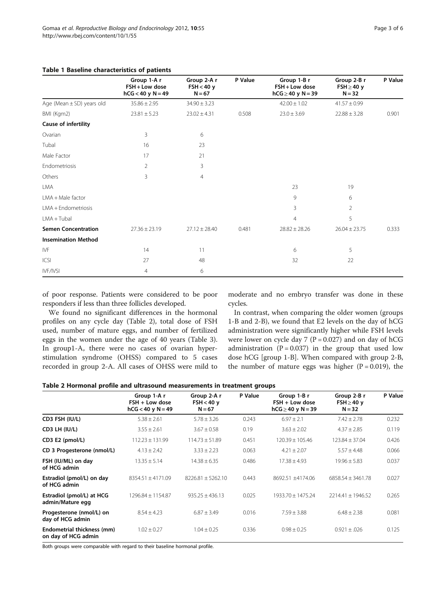### <span id="page-2-0"></span>Table 1 Baseline characteristics of patients

|                            | Group 1-A r<br>FSH + Low dose<br>$hCG < 40$ y $N = 49$ | Group 2-A r<br>FSH < 40 y<br>$N = 67$ | P Value | Group 1-B r<br>FSH + Low dose<br>$hCG \geq 40$ y $N = 39$ | Group 2-B r<br>$FSH \geq 40$ y<br>$N = 32$ | P Value |
|----------------------------|--------------------------------------------------------|---------------------------------------|---------|-----------------------------------------------------------|--------------------------------------------|---------|
| Age (Mean ± SD) years old  | $35.86 \pm 2.95$                                       | $34.90 \pm 3.23$                      |         | $42.00 \pm 1.02$                                          | $41.57 \pm 0.99$                           |         |
| BMI (Kgm2)                 | $23.81 \pm 5.23$                                       | $23.02 \pm 4.31$                      | 0.508   | $23.0 \pm 3.69$                                           | $22.88 \pm 3.28$                           | 0.901   |
| Cause of infertility       |                                                        |                                       |         |                                                           |                                            |         |
| Ovarian                    | 3                                                      | 6                                     |         |                                                           |                                            |         |
| Tubal                      | 16                                                     | 23                                    |         |                                                           |                                            |         |
| Male Factor                | 17                                                     | 21                                    |         |                                                           |                                            |         |
| Endometriosis              | $\overline{2}$                                         | 3                                     |         |                                                           |                                            |         |
| Others                     | 3                                                      | $\overline{4}$                        |         |                                                           |                                            |         |
| LMA                        |                                                        |                                       |         | 23                                                        | 19                                         |         |
| LMA + Male factor          |                                                        |                                       |         | 9                                                         | 6                                          |         |
| LMA + Endometriosis        |                                                        |                                       |         | 3                                                         | $\overline{2}$                             |         |
| $LMA + Tubal$              |                                                        |                                       |         | $\overline{4}$                                            | 5                                          |         |
| <b>Semen Concentration</b> | $27.36 \pm 23.19$                                      | $27.12 \pm 28.40$                     | 0.481   | $28.82 \pm 28.26$                                         | $26.04 \pm 23.75$                          | 0.333   |
| <b>Insemination Method</b> |                                                        |                                       |         |                                                           |                                            |         |
| IVF                        | 14                                                     | 11                                    |         | 6                                                         | 5                                          |         |
| ICSI                       | 27                                                     | 48                                    |         | 32                                                        | 22                                         |         |
| IVF/IVSI                   | $\overline{4}$                                         | 6                                     |         |                                                           |                                            |         |

of poor response. Patients were considered to be poor responders if less than three follicles developed.

moderate and no embryo transfer was done in these cycles.

We found no significant differences in the hormonal profiles on any cycle day (Table 2), total dose of FSH used, number of mature eggs, and number of fertilized eggs in the women under the age of 40 years (Table [3](#page-3-0)). In group1-A, there were no cases of ovarian hyperstimulation syndrome (OHSS) compared to 5 cases recorded in group 2-A. All cases of OHSS were mild to

In contrast, when comparing the older women (groups 1-B and 2-B), we found that E2 levels on the day of hCG administration were significantly higher while FSH levels were lower on cycle day 7 ( $P = 0.027$ ) and on day of hCG administration  $(P = 0.037)$  in the group that used low dose hCG [group 1-B]. When compared with group 2-B, the number of mature eggs was higher  $(P = 0.019)$ , the

| Table 2 Hormonal profile and ultrasound measurements in treatment groups |  |  |  |  |  |  |
|--------------------------------------------------------------------------|--|--|--|--|--|--|
|--------------------------------------------------------------------------|--|--|--|--|--|--|

|                                                   | Group 1-A r<br>$FSH + Low dose$<br>$hCG < 40$ y $N = 49$ | Group 2-A r<br>$FSH < 40$ y<br>$N = 67$ | P Value | Group 1-B r<br>$FSH + Low dose$<br>$hCG \geq 40$ y N = 39 | Group 2-B r<br>$FSH \geq 40$ y<br>$N = 32$ | P Value |
|---------------------------------------------------|----------------------------------------------------------|-----------------------------------------|---------|-----------------------------------------------------------|--------------------------------------------|---------|
| CD3 FSH (IU/L)                                    | $5.38 \pm 2.61$                                          | $5.78 \pm 3.26$                         | 0.243   | $6.97 \pm 2.1$                                            | $7.42 \pm 2.78$                            | 0.232   |
| CD3 LH (IU/L)                                     | $3.55 \pm 2.61$                                          | $3.67 \pm 0.58$                         | 0.19    | $3.63 \pm 2.02$                                           | $4.37 \pm 2.85$                            | 0.119   |
| CD3 E2 (pmol/L)                                   | $112.23 \pm 131.99$                                      | $114.73 \pm 51.89$                      | 0.451   | $120.39 + 105.46$                                         | $123.84 + 37.04$                           | 0.426   |
| CD 3 Progesterone (nmol/L)                        | $4.13 \pm 2.42$                                          | $3.33 \pm 2.23$                         | 0.063   | $4.21 \pm 2.07$                                           | $5.57 \pm 4.48$                            | 0.066   |
| FSH (IU/ML) on day<br>of HCG admin                | $13.35 \pm 5.14$                                         | $14.38 \pm 6.35$                        | 0.486   | $17.38 \pm 4.93$                                          | $19.96 + 5.83$                             | 0.037   |
| Estradiol (pmol/L) on day<br>of HCG admin         | $8354.51 \pm 4171.09$                                    | $8226.81 \pm 5262.10$                   | 0.443   | 8692.51 ±4174.06                                          | $6858.54 \pm 3461.78$                      | 0.027   |
| Estradiol (pmol/L) at HCG<br>admin/Mature egg     | 1296.84 ± 1154.87                                        | $935.25 + 436.13$                       | 0.025   | $1933.70 + 1475.24$                                       | $2214.41 + 1946.52$                        | 0.265   |
| Progesterone (nmol/L) on<br>day of HCG admin      | $8.54 \pm 4.23$                                          | $6.87 \pm 3.49$                         | 0.016   | $7.59 \pm 3.88$                                           | $6.48 \pm 2.38$                            | 0.081   |
| Endometrial thickness (mm)<br>on day of HCG admin | $1.02 \pm 0.27$                                          | $1.04 \pm 0.25$                         | 0.336   | $0.98 \pm 0.25$                                           | $0.921 \pm 0.026$                          | 0.125   |

Both groups were comparable with regard to their baseline hormonal profile.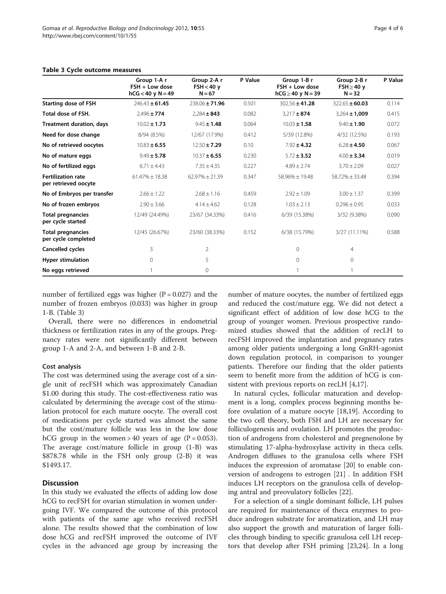#### <span id="page-3-0"></span>Table 3 Cycle outcome measures

|                                                   | Group 1-A r<br>$FSH + Low dose$<br>$hCG < 40$ y $N = 49$ | Group 2-A r<br>$FSH < 40$ y<br>$N = 67$ | P Value | Group 1-B r<br>$FSH + Low dose$<br>$hCG \geq 40$ y $N = 39$ | Group 2-B r<br>$FSH \geq 40$ y<br>$N = 32$ | P Value |
|---------------------------------------------------|----------------------------------------------------------|-----------------------------------------|---------|-------------------------------------------------------------|--------------------------------------------|---------|
| <b>Starting dose of FSH</b>                       | $246.43 \pm 61.45$                                       | $238.06 \pm 71.96$                      | 0.501   | $302.56 \pm 41.28$                                          | $322.65 \pm 60.03$                         | 0.114   |
| Total dose of FSH.                                | $2,496 \pm 774$                                          | $2.284 \pm 843$                         | 0.082   | $3,217 + 874$                                               | $3,264 \pm 1,009$                          | 0.415   |
| <b>Treatment duration, days</b>                   | $10.02 \pm 1.73$                                         | $9.45 \pm 1.48$                         | 0.064   | $10.03 \pm 1.58$                                            | $9.40 \pm 1.90$                            | 0.072   |
| Need for dose change                              | 8/94 (8.5%)                                              | 12/67 (17.9%)                           | 0.412   | 5/39 (12.8%)                                                | 4/32 (12.5%)                               | 0.193   |
| No of retrieved oocytes                           | $10.83 \pm 6.55$                                         | $12.50 \pm 7.29$                        | 0.10    | $7.92 \pm 4.32$                                             | $6.28 \pm 4.50$                            | 0.067   |
| No of mature eggs                                 | $9.49 \pm 5.78$                                          | $10.37 \pm 6.55$                        | 0.230   | $5.72 \pm 3.52$                                             | $4.00 \pm 3.34$                            | 0.019   |
| No of fertilized eggs                             | $6.71 \pm 4.43$                                          | $7.35 \pm 4.35$                         | 0.227   | $4.89 + 2.74$                                               | $3.70 \pm 2.09$                            | 0.027   |
| <b>Fertilization rate</b><br>per retrieved oocyte | $61.47\% \pm 18.38$                                      | $62.97\% \pm 21.39$                     | 0.347   | $58.96\% \pm 19.48$                                         | $58.72\% \pm 33.48$                        | 0.394   |
| No of Embryos per transfer                        | $2.66 \pm 1.22$                                          | $2.68 \pm 1.16$                         | 0.459   | $2.92 \pm 1.09$                                             | $3.00 \pm 1.37$                            | 0.399   |
| No of frozen embryos                              | $2.90 \pm 3.66$                                          | $4.14 \pm 4.62$                         | 0.128   | $1.03 \pm 2.13$                                             | $0.296 \pm 0.95$                           | 0.033   |
| <b>Total pregnancies</b><br>per cycle started     | 12/49 (24.49%)                                           | 23/67 (34.33%)                          | 0.416   | 6/39 (15.38%)                                               | 3/32 (9.38%)                               | 0.090   |
| <b>Total pregnancies</b><br>per cycle completed   | 12/45 (26.67%)                                           | 23/60 (38.33%)                          | 0.152   | 6/38 (15.79%)                                               | 3/27 (11.11%)                              | 0.588   |
| Cancelled cycles                                  | 3                                                        | $\overline{2}$                          |         | $\Omega$                                                    | $\overline{4}$                             |         |
| <b>Hyper stimulation</b>                          | $\Omega$                                                 | 5                                       |         | $\Omega$                                                    | $\circ$                                    |         |
| No eggs retrieved                                 |                                                          | 0                                       |         |                                                             |                                            |         |

number of fertilized eggs was higher  $(P = 0.027)$  and the number of frozen embryos (0.033) was higher in group 1-B. (Table 3)

Overall, there were no differences in endometrial thickness or fertilization rates in any of the groups. Pregnancy rates were not significantly different between group 1-A and 2-A, and between 1-B and 2-B.

#### Cost analysis

The cost was determined using the average cost of a single unit of recFSH which was approximately Canadian \$1.00 during this study. The cost-effectiveness ratio was calculated by determining the average cost of the stimulation protocol for each mature oocyte. The overall cost of medications per cycle started was almost the same but the cost/mature follicle was less in the low dose hCG group in the women > 40 years of age  $(P = 0.053)$ . The average cost/mature follicle in group (1-B) was \$878.78 while in the FSH only group (2-B) it was \$1493.17.

## **Discussion**

In this study we evaluated the effects of adding low dose hCG to recFSH for ovarian stimulation in women undergoing IVF. We compared the outcome of this protocol with patients of the same age who received recFSH alone. The results showed that the combination of low dose hCG and recFSH improved the outcome of IVF cycles in the advanced age group by increasing the

number of mature oocytes, the number of fertilized eggs and reduced the cost/mature egg. We did not detect a significant effect of addition of low dose hCG to the group of younger women. Previous prospective randomized studies showed that the addition of recLH to recFSH improved the implantation and pregnancy rates among older patients undergoing a long GnRH-agonist down regulation protocol, in comparison to younger patients. Therefore our finding that the older patients seem to benefit more from the addition of hCG is consistent with previous reports on recLH [[4,](#page-4-0)[17\]](#page-5-0).

In natural cycles, follicular maturation and development is a long, complex process beginning months before ovulation of a mature oocyte [\[18,19\]](#page-5-0). According to the two cell theory, both FSH and LH are necessary for folliculogenesis and ovulation. LH promotes the production of androgens from cholesterol and pregnenolone by stimulating 17-alpha-hydroxylase activity in theca cells. Androgen diffuses to the granulosa cells where FSH induces the expression of aromatase [[20\]](#page-5-0) to enable conversion of androgens to estrogen [[21\]](#page-5-0) . In addition FSH induces LH receptors on the granulosa cells of developing antral and preovulatory follicles [\[22](#page-5-0)].

For a selection of a single dominant follicle, LH pulses are required for maintenance of theca enzymes to produce androgen substrate for aromatization, and LH may also support the growth and maturation of larger follicles through binding to specific granulosa cell LH receptors that develop after FSH priming [[23,24\]](#page-5-0). In a long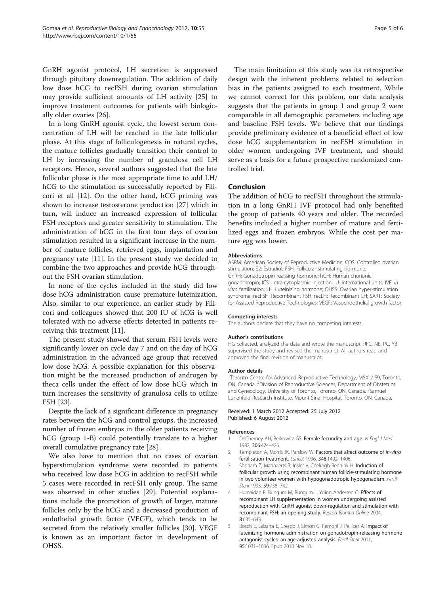<span id="page-4-0"></span>GnRH agonist protocol, LH secretion is suppressed through pituitary downregulation. The addition of daily low dose hCG to recFSH during ovarian stimulation may provide sufficient amounts of LH activity [\[25](#page-5-0)] to improve treatment outcomes for patients with biologically older ovaries [[26\]](#page-5-0).

In a long GnRH agonist cycle, the lowest serum concentration of LH will be reached in the late follicular phase. At this stage of folliculogenesis in natural cycles, the mature follicles gradually transition their control to LH by increasing the number of granulosa cell LH receptors. Hence, several authors suggested that the late follicular phase is the most appropriate time to add LH/ hCG to the stimulation as successfully reported by Filicori et all [\[12](#page-5-0)]. On the other hand, hCG priming was shown to increase testosterone production [[27](#page-5-0)] which in turn, will induce an increased expression of follicular FSH receptors and greater sensitivity to stimulation. The administration of hCG in the first four days of ovarian stimulation resulted in a significant increase in the number of mature follicles, retrieved eggs, implantation and pregnancy rate [[11\]](#page-5-0). In the present study we decided to combine the two approaches and provide hCG throughout the FSH ovarian stimulation.

In none of the cycles included in the study did low dose hCG administration cause premature luteinization. Also, similar to our experience, an earlier study by Filicori and colleagues showed that 200 IU of hCG is well tolerated with no adverse effects detected in patients receiving this treatment [\[11\]](#page-5-0).

The present study showed that serum FSH levels were significantly lower on cycle day 7 and on the day of hCG administration in the advanced age group that received low dose hCG. A possible explanation for this observation might be the increased production of androgen by theca cells under the effect of low dose hCG which in turn increases the sensitivity of granulosa cells to utilize FSH [[23](#page-5-0)].

Despite the lack of a significant difference in pregnancy rates between the hCG and control groups, the increased number of frozen embryos in the older patients receiving hCG (group 1-B) could potentially translate to a higher overall cumulative pregnancy rate [[28](#page-5-0)] .

We also have to mention that no cases of ovarian hyperstimulation syndrome were recorded in patients who received low dose hCG in addition to recFSH while 5 cases were recorded in recFSH only group. The same was observed in other studies [\[29](#page-5-0)]. Potential explanations include the promotion of growth of larger, mature follicles only by the hCG and a decreased production of endothelial growth factor (VEGF), which tends to be secreted from the relatively smaller follicles [[30\]](#page-5-0). VEGF is known as an important factor in development of OHSS.

The main limitation of this study was its retrospective design with the inherent problems related to selection bias in the patients assigned to each treatment. While we cannot correct for this problem, our data analysis suggests that the patients in group 1 and group 2 were comparable in all demographic parameters including age and baseline FSH levels. We believe that our findings provide preliminary evidence of a beneficial effect of low dose hCG supplementation in recFSH stimulation in older women undergoing IVF treatment, and should serve as a basis for a future prospective randomized controlled trial.

## Conclusion

The addition of hCG to recFSH throughout the stimulation in a long GnRH IVF protocol had only benefited the group of patients 40 years and older. The recorded benefits included a higher number of mature and fertilized eggs and frozen embryos. While the cost per mature egg was lower.

#### Abbreviations

ASRM: American Society of Reproductive Medicine; COS: Controlled ovarian stimulation; E2: Estradiol; FSH: Follicular stimulating hormone; GnRH: Gonadotropin realising hormone; hCH: Human chorionic gonadotropin; ICSI: Intra-cytoplasmic injection; IU: International units; IVF: In vitro fertilization; LH: Luteinizing hormone; OHSS: Ovarian hyper-stimulation syndrome; recFSH: Recombinant FSH; recLH: Recombinant LH; SART: Society for Assisted Reproductive Technologies; VEGF: Vasoendothelial growth factor.

#### Competing interests

The authors declare that they have no competing interests.

#### Author's contributions

HG collected, analyzed the data and wrote the manuscript. RFC, NE, PC, YB supervised the study and revised the manuscript. All authors read and approved the final revision of manuscript.

#### Author details

<sup>1</sup>Toronto Centre for Advanced Reproductive Technology, M5X 2 S9, Toronto ON, Canada. <sup>2</sup> Division of Reproductive Sciences, Department of Obstetrics and Gynecology, University of Toronto, Toronto, ON, Canada. <sup>3</sup>Samuel Lunenfeld Research Institute, Mount Sinai Hospital, Toronto, ON, Canada.

#### Received: 1 March 2012 Accepted: 25 July 2012 Published: 6 August 2012

#### References

- 1. DeCherney AH, Berkowitz GS: Female fecundity and age. N Engl J Med 1982, 306:424–426.
- 2. Templeton A, Morris JK, Parslow W: Factors that affect outcome of in-vitro fertilisation treatment. Lancet 1996, 348:1402–1406.
- 3. Shoham Z, Mannaerts B, Insler V, Coelingh-Bennink H: Induction of follicular growth using recombinant human follicle-stimulating hormone in two volunteer women with hypogonadotropic hypogonadism. Fertil Steril 1993, 59:738–742.
- 4. Humaidan P, Bungum M, Bungum L, Yding Andersen C: Effects of recombinant LH supplementation in women undergoing assisted reproduction with GnRH agonist down-regulation and stimulation with recombinant FSH: an opening study. Reprod Biomed Online 2004, 8:635–643.
- 5. Bosch E, Labarta E, Crespo J, Simon C, Remohi J, Pellicer A: Impact of luteinizing hormone administration on gonadotropin-releasing hormone antagonist cycles: an age-adjusted analysis. Fertil Steril 2011, 95:1031–1036. Epub 2010 Nov 10.